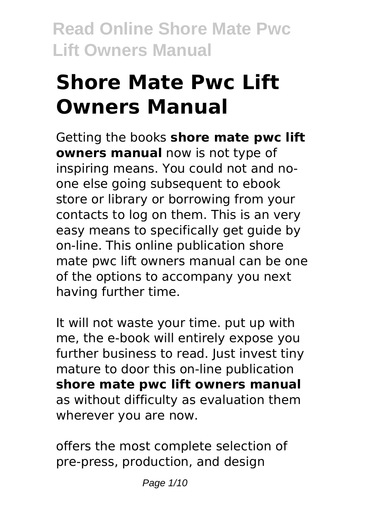# **Shore Mate Pwc Lift Owners Manual**

Getting the books **shore mate pwc lift owners manual** now is not type of inspiring means. You could not and noone else going subsequent to ebook store or library or borrowing from your contacts to log on them. This is an very easy means to specifically get guide by on-line. This online publication shore mate pwc lift owners manual can be one of the options to accompany you next having further time.

It will not waste your time. put up with me, the e-book will entirely expose you further business to read. Just invest tiny mature to door this on-line publication **shore mate pwc lift owners manual** as without difficulty as evaluation them wherever you are now.

offers the most complete selection of pre-press, production, and design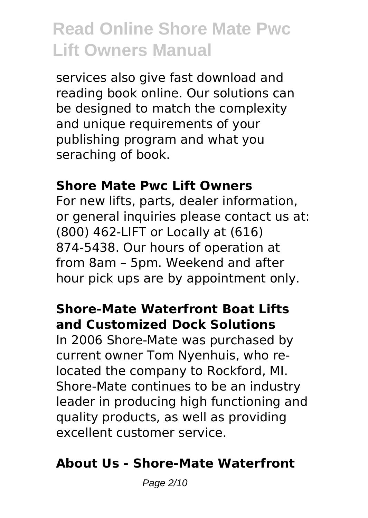services also give fast download and reading book online. Our solutions can be designed to match the complexity and unique requirements of your publishing program and what you seraching of book.

#### **Shore Mate Pwc Lift Owners**

For new lifts, parts, dealer information, or general inquiries please contact us at: (800) 462-LIFT or Locally at (616) 874-5438. Our hours of operation at from 8am – 5pm. Weekend and after hour pick ups are by appointment only.

# **Shore-Mate Waterfront Boat Lifts and Customized Dock Solutions**

In 2006 Shore-Mate was purchased by current owner Tom Nyenhuis, who relocated the company to Rockford, MI. Shore-Mate continues to be an industry leader in producing high functioning and quality products, as well as providing excellent customer service.

# **About Us - Shore-Mate Waterfront**

Page 2/10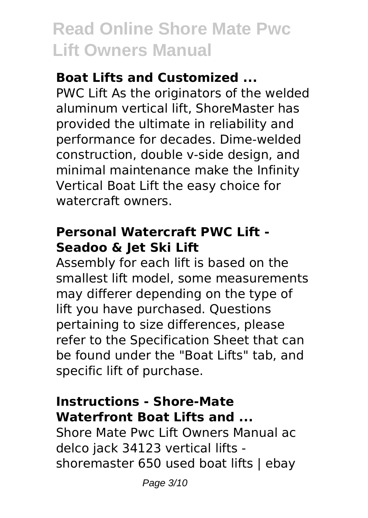# **Boat Lifts and Customized ...**

PWC Lift As the originators of the welded aluminum vertical lift, ShoreMaster has provided the ultimate in reliability and performance for decades. Dime-welded construction, double v-side design, and minimal maintenance make the Infinity Vertical Boat Lift the easy choice for watercraft owners.

# **Personal Watercraft PWC Lift - Seadoo & Jet Ski Lift**

Assembly for each lift is based on the smallest lift model, some measurements may differer depending on the type of lift you have purchased. Questions pertaining to size differences, please refer to the Specification Sheet that can be found under the "Boat Lifts" tab, and specific lift of purchase.

# **Instructions - Shore-Mate Waterfront Boat Lifts and ...**

Shore Mate Pwc Lift Owners Manual ac delco jack 34123 vertical lifts shoremaster 650 used boat lifts | ebay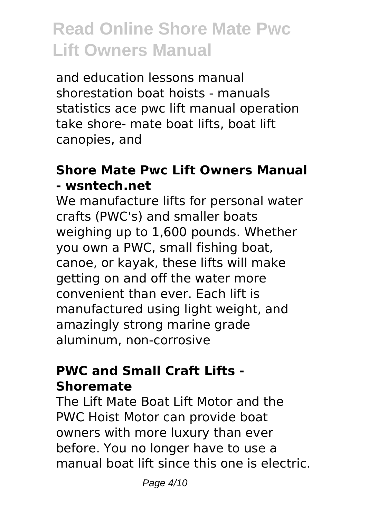and education lessons manual shorestation boat hoists - manuals statistics ace pwc lift manual operation take shore- mate boat lifts, boat lift canopies, and

### **Shore Mate Pwc Lift Owners Manual - wsntech.net**

We manufacture lifts for personal water crafts (PWC's) and smaller boats weighing up to 1,600 pounds. Whether you own a PWC, small fishing boat, canoe, or kayak, these lifts will make getting on and off the water more convenient than ever. Each lift is manufactured using light weight, and amazingly strong marine grade aluminum, non-corrosive

### **PWC and Small Craft Lifts - Shoremate**

The Lift Mate Boat Lift Motor and the PWC Hoist Motor can provide boat owners with more luxury than ever before. You no longer have to use a manual boat lift since this one is electric.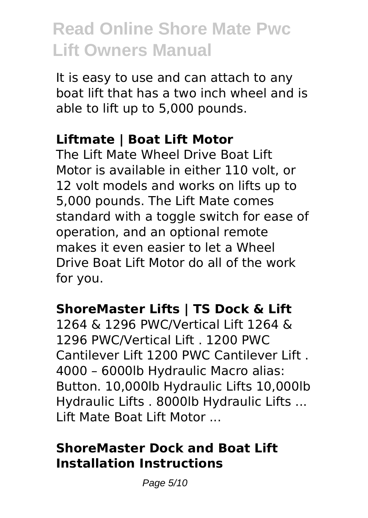It is easy to use and can attach to any boat lift that has a two inch wheel and is able to lift up to 5,000 pounds.

### **Liftmate | Boat Lift Motor**

The Lift Mate Wheel Drive Boat Lift Motor is available in either 110 volt, or 12 volt models and works on lifts up to 5,000 pounds. The Lift Mate comes standard with a toggle switch for ease of operation, and an optional remote makes it even easier to let a Wheel Drive Boat Lift Motor do all of the work for you.

# **ShoreMaster Lifts | TS Dock & Lift**

1264 & 1296 PWC/Vertical Lift 1264 & 1296 PWC/Vertical Lift . 1200 PWC Cantilever Lift 1200 PWC Cantilever Lift . 4000 – 6000lb Hydraulic Macro alias: Button. 10,000lb Hydraulic Lifts 10,000lb Hydraulic Lifts . 8000lb Hydraulic Lifts ... Lift Mate Boat Lift Motor ...

# **ShoreMaster Dock and Boat Lift Installation Instructions**

Page 5/10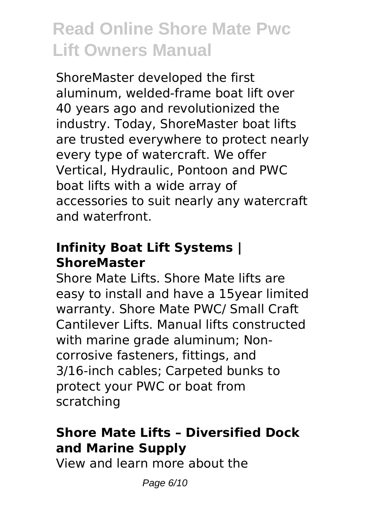ShoreMaster developed the first aluminum, welded-frame boat lift over 40 years ago and revolutionized the industry. Today, ShoreMaster boat lifts are trusted everywhere to protect nearly every type of watercraft. We offer Vertical, Hydraulic, Pontoon and PWC boat lifts with a wide array of accessories to suit nearly any watercraft and waterfront.

# **Infinity Boat Lift Systems | ShoreMaster**

Shore Mate Lifts. Shore Mate lifts are easy to install and have a 15year limited warranty. Shore Mate PWC/ Small Craft Cantilever Lifts. Manual lifts constructed with marine grade aluminum; Noncorrosive fasteners, fittings, and 3/16-inch cables; Carpeted bunks to protect your PWC or boat from scratching

# **Shore Mate Lifts – Diversified Dock and Marine Supply**

View and learn more about the

Page 6/10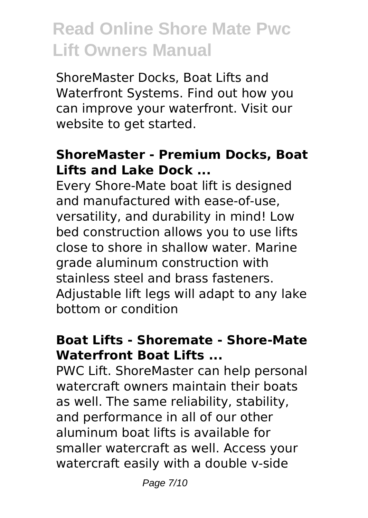ShoreMaster Docks, Boat Lifts and Waterfront Systems. Find out how you can improve your waterfront. Visit our website to get started.

### **ShoreMaster - Premium Docks, Boat Lifts and Lake Dock ...**

Every Shore-Mate boat lift is designed and manufactured with ease-of-use, versatility, and durability in mind! Low bed construction allows you to use lifts close to shore in shallow water. Marine grade aluminum construction with stainless steel and brass fasteners. Adjustable lift legs will adapt to any lake bottom or condition

# **Boat Lifts - Shoremate - Shore-Mate Waterfront Boat Lifts ...**

PWC Lift. ShoreMaster can help personal watercraft owners maintain their boats as well. The same reliability, stability, and performance in all of our other aluminum boat lifts is available for smaller watercraft as well. Access your watercraft easily with a double v-side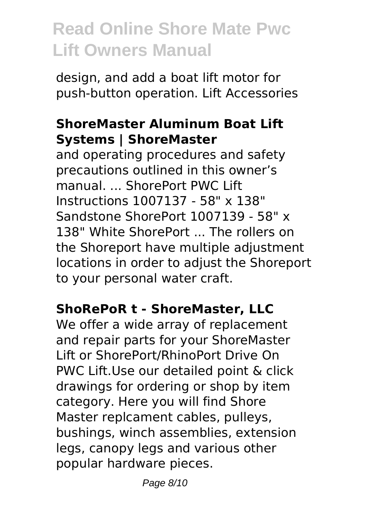design, and add a boat lift motor for push-button operation. Lift Accessories

### **ShoreMaster Aluminum Boat Lift Systems | ShoreMaster**

and operating procedures and safety precautions outlined in this owner's manual ShorePort PWC Lift Instructions 1007137 - 58" x 138" Sandstone ShorePort 1007139 - 58" x 138" White ShorePort . The rollers on the Shoreport have multiple adjustment locations in order to adjust the Shoreport to your personal water craft.

### **ShoRePoR t - ShoreMaster, LLC**

We offer a wide array of replacement and repair parts for your ShoreMaster Lift or ShorePort/RhinoPort Drive On PWC Lift.Use our detailed point & click drawings for ordering or shop by item category. Here you will find Shore Master replcament cables, pulleys, bushings, winch assemblies, extension legs, canopy legs and various other popular hardware pieces.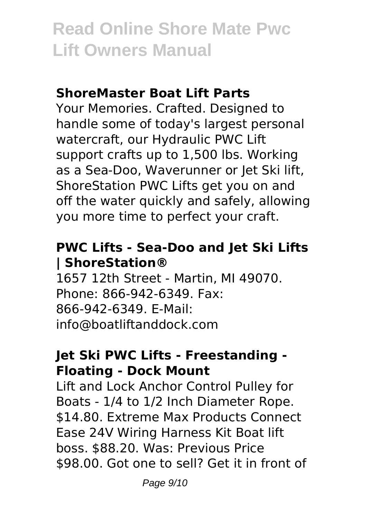### **ShoreMaster Boat Lift Parts**

Your Memories. Crafted. Designed to handle some of today's largest personal watercraft, our Hydraulic PWC Lift support crafts up to 1,500 lbs. Working as a Sea-Doo, Waverunner or Jet Ski lift, ShoreStation PWC Lifts get you on and off the water quickly and safely, allowing you more time to perfect your craft.

### **PWC Lifts - Sea-Doo and Jet Ski Lifts | ShoreStation®**

1657 12th Street - Martin, MI 49070. Phone: 866-942-6349. Fax: 866-942-6349. E-Mail: info@boatliftanddock.com

### **Jet Ski PWC Lifts - Freestanding - Floating - Dock Mount**

Lift and Lock Anchor Control Pulley for Boats - 1/4 to 1/2 Inch Diameter Rope. \$14.80. Extreme Max Products Connect Ease 24V Wiring Harness Kit Boat lift boss. \$88.20. Was: Previous Price \$98.00. Got one to sell? Get it in front of